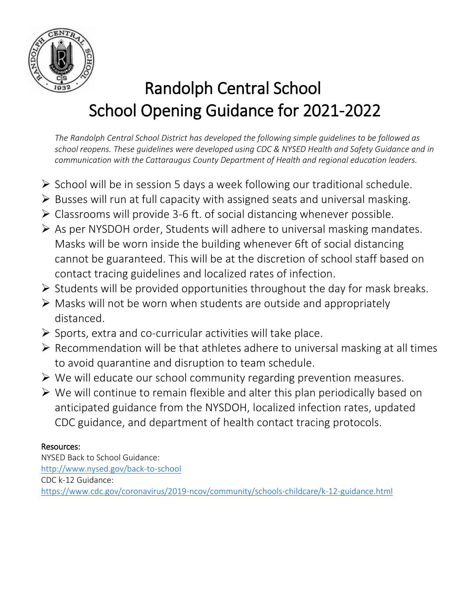

# Randolph Central School School Opening Guidance for 2021-2022

*The Randolph Central School District has developed the following simple guidelines to be followed as school reopens. These guidelines were developed using CDC & NYSED Health and Safety Guidance and in communication with the Cattaraugus County Department of Health and regional education leaders.* 

- $\triangleright$  School will be in session 5 days a week following our traditional schedule.
- $\triangleright$  Busses will run at full capacity with assigned seats and universal masking.
- Classrooms will provide 3-6 ft. of social distancing whenever possible.
- $\triangleright$  As per NYSDOH order, Students will adhere to universal masking mandates. Masks will be worn inside the building whenever 6ft of social distancing cannot be guaranteed. This will be at the discretion of school staff based on contact tracing guidelines and localized rates of infection.
- $\triangleright$  Students will be provided opportunities throughout the day for mask breaks.
- $\triangleright$  Masks will not be worn when students are outside and appropriately distanced.
- $\triangleright$  Sports, extra and co-curricular activities will take place.
- $\triangleright$  Recommendation will be that athletes adhere to universal masking at all times to avoid quarantine and disruption to team schedule.
- $\triangleright$  We will educate our school community regarding prevention measures.
- $\triangleright$  We will continue to remain flexible and alter this plan periodically based on anticipated guidance from the NYSDOH, localized infection rates, updated CDC guidance, and department of health contact tracing protocols.

# Resources:

NYSED Back to School Guidance: <http://www.nysed.gov/back-to-school> CDC k-12 Guidance: <https://www.cdc.gov/coronavirus/2019-ncov/community/schools-childcare/k-12-guidance.html>